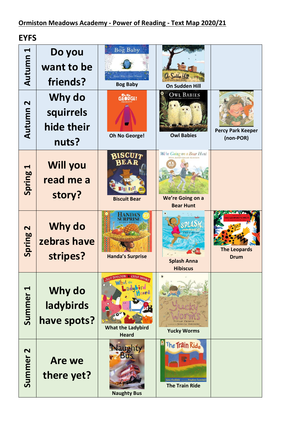**EYFS**

| Н<br>Autumn                     | Do you<br>want to be<br>friends?           | $\overline{{\operatorname{Bog}}}$ ${\operatorname{Baby}}$<br>ne ( ${\cal W}$ illis • Jwen Millward<br><b>Bog Baby</b> | On Sudden Hill<br>On Sudden Hill                                                                                                       |                                                              |
|---------------------------------|--------------------------------------------|-----------------------------------------------------------------------------------------------------------------------|----------------------------------------------------------------------------------------------------------------------------------------|--------------------------------------------------------------|
| $\mathbf{\mathsf{N}}$<br>Autumn | Why do<br>squirrels<br>hide their<br>nuts? | ah w.<br>G <b>eo</b> rge!<br>۵ô<br>Oh No George!                                                                      | <b>OWL BABIES</b><br><b>Owl Babies</b>                                                                                                 | <b>Percy Park Keeper</b><br>(non-POR)                        |
| $\blacktriangleright$<br>Spring | <b>Will you</b><br>read me a<br>story?     | BISCUI7<br><b>Biscuit Bear</b>                                                                                        | We're Going on a Bear Hunt<br><b>30TH ANNIVERSARY EDITION</b><br>Michael Rosen Helen, Oxenbury<br>We're Going on a<br><b>Bear Hunt</b> |                                                              |
| $\mathbf{\Omega}$<br>Spring     | Why do<br>zebras have<br>stripes?          | <b>HANDA'S</b><br>SURPRISE<br><b>Handa's Surprise</b>                                                                 | <b>Splash Anna</b><br><b>Hibiscus</b>                                                                                                  | <b>E LEOPARD'S DRU</b><br><b>The Leopards</b><br><b>Drum</b> |
| Summer <sub>1</sub>             | Why do<br>ladybirds<br>have spots?         | JULIA DONALDSON & LYDIA MONAG<br><b>Bellpat</b> the<br>ard<br><b>What the Ladybird</b><br><b>Heard</b>                | <b>Yucky Worms</b>                                                                                                                     |                                                              |
| Summer <sub>2</sub>             | <b>Are we</b><br>there yet?                | Naughty<br><b>Bus</b><br><b>Naughty Bus</b>                                                                           | The Train Ride<br>June Crebbin manus Stephen Lambert<br><b>The Train Ride</b>                                                          |                                                              |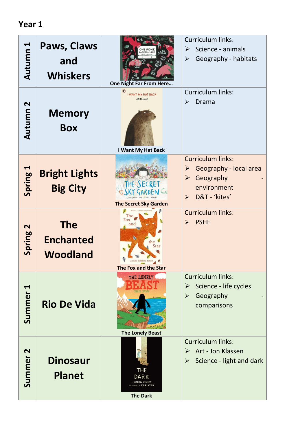| Autumn 1            | Paws, Claws<br>and<br><b>Whiskers</b>             | ONE NIGHT<br>AR FROM HERE<br>One Night Far From Here<br>$^{\circ}$    | <b>Curriculum links:</b><br>Science - animals<br>➤<br>Geography - habitats<br>$\blacktriangleright$<br>Curriculum links:                               |
|---------------------|---------------------------------------------------|-----------------------------------------------------------------------|--------------------------------------------------------------------------------------------------------------------------------------------------------|
| Autumn <sub>2</sub> | <b>Memory</b><br><b>Box</b>                       | <b>I WANT MY HAT BACK</b><br><b>JON KLASSEN</b><br>I Want My Hat Back | Drama<br>$\blacktriangleright$                                                                                                                         |
| Spring 1            | <b>Bright Lights</b><br><b>Big City</b>           | THEQSECRET<br><b>The Secret Sky Garden</b>                            | <b>Curriculum links:</b><br>Geography - local area<br>➤<br>Geography<br>$\blacktriangleright$<br>environment<br>D&T - 'kites'<br>$\blacktriangleright$ |
| Spring 2            | <b>The</b><br><b>Enchanted</b><br><b>Woodland</b> | Fox<br>B)<br>the<br>Star<br>The Fox and the Star                      | <b>Curriculum links:</b><br><b>PSHE</b><br>$\blacktriangleright$                                                                                       |
| Summer <sub>1</sub> | <b>Rio De Vida</b>                                | THE LONELY<br><b>The Lonely Beast</b>                                 | <b>Curriculum links:</b><br>Science - life cycles<br>$\blacktriangleright$<br>Geography<br>$\blacktriangleright$<br>comparisons                        |
| Summer <sub>2</sub> | <b>Dinosaur</b><br><b>Planet</b>                  | <b>THE</b><br><b>DARK</b><br>EY LEMONY SNICKET<br><b>The Dark</b>     | <b>Curriculum links:</b><br>Art - Jon Klassen<br>$\blacktriangleright$<br>Science - light and dark<br>$\blacktriangleright$                            |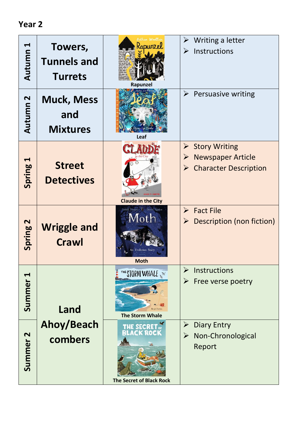| $\blacktriangleleft$<br>Autumn | Towers,<br><b>Tunnels and</b><br><b>Turrets</b> | Bethan Woollvin<br>Ropunzel<br>Rapunzel                                      | Writing a letter<br>➤<br>Instructions<br>$\blacktriangleright$                                                           |
|--------------------------------|-------------------------------------------------|------------------------------------------------------------------------------|--------------------------------------------------------------------------------------------------------------------------|
| Autumn 2                       | <b>Muck, Mess</b><br>and<br><b>Mixtures</b>     | Leaf                                                                         | $\blacktriangleright$<br><b>Persuasive writing</b>                                                                       |
| $\blacktriangleleft$<br>Spring | <b>Street</b><br><b>Detectives</b>              | <b>Claude in the City</b>                                                    | $\triangleright$ Story Writing<br><b>Newspaper Article</b><br>➤<br><b>Character Description</b><br>$\blacktriangleright$ |
| Spring <sub>2</sub>            | <b>Wriggle and</b><br><b>Crawl</b>              | Isabel Thomas Daniel Egneus<br>Moth<br><b>Evolution Story</b><br><b>Moth</b> | <b>Fact File</b><br>$\blacktriangleright$<br>Description (non fiction)                                                   |
| Summer <sub>1</sub>            | Land                                            | THE STORM WHALE<br><b>The Storm Whale</b>                                    | Instructions<br>➤<br>Free verse poetry<br>➤                                                                              |
| Summer <sub>2</sub>            | Ahoy/Beach<br>combers                           | THE SECRI<br>ACK ROCI<br><b>The Secret of Black Rock</b>                     | <b>Diary Entry</b><br>$\blacktriangleright$<br>Non-Chronological<br>$\blacktriangleright$<br>Report                      |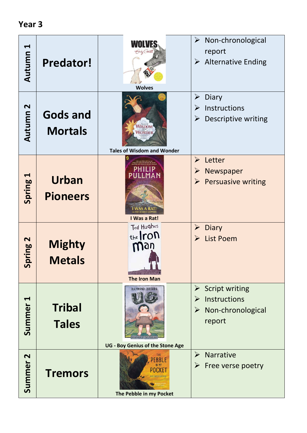| $\blacktriangleleft$<br>Autumn  | <b>Predator!</b>                  | Smily Gravett<br><b>Wolves</b>                                      | Non-chronological<br>$\blacktriangleright$<br>report<br><b>Alternative Ending</b><br>$\blacktriangleright$                  |
|---------------------------------|-----------------------------------|---------------------------------------------------------------------|-----------------------------------------------------------------------------------------------------------------------------|
| Autumn 2                        | <b>Gods and</b><br><b>Mortals</b> | WISDOM <sup>1</sup><br>WONDER,<br><b>Tales of Wisdom and Wonder</b> | Diary<br>$\blacktriangleright$<br>Instructions<br>$\blacktriangleright$<br>Descriptive writing<br>➤                         |
| Spring 1                        | <b>Urban</b><br><b>Pioneers</b>   | I Was a Rat!                                                        | Letter<br>$\blacktriangleright$<br>Newspaper<br>$\blacktriangleright$<br><b>Persuasive writing</b><br>$\blacktriangleright$ |
| $\mathbf{\Omega}$<br>pring<br>5 | <b>Mighty</b><br><b>Metals</b>    | Ted Hughes<br>the <b>ron</b><br>man<br><b>The Iron Man</b>          | <b>Diary</b><br>$\blacktriangleright$<br><b>List Poem</b><br>$\blacktriangleright$                                          |
| Summer <sub>1</sub>             | <b>Tribal</b><br><b>Tales</b>     | RAYMOND BRIGGS<br><b>UG - Boy Genius of the Stone Age</b>           | <b>Script writing</b><br>➤<br>Instructions<br>$\blacktriangleright$<br>Non-chronological<br>$\blacktriangleright$<br>report |
| Summer <sub>2</sub>             | <b>Tremors</b>                    | <b>PEBBLE</b><br>IN MY<br>POCKET<br>The Pebble in my Pocket         | Narrative<br>$\blacktriangleright$<br>Free verse poetry<br>$\blacktriangleright$                                            |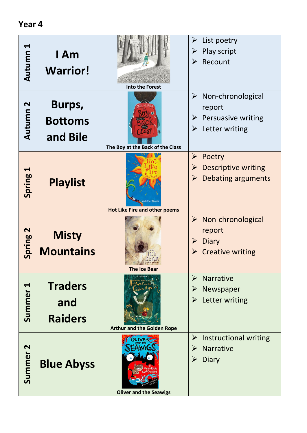| ↤<br>Autumn                     | I Am<br><b>Warrior!</b>                 | NTHONY BROWNE<br><b>Into the Forest</b>               | List poetry<br>➤<br>Play script<br>➤<br>Recount<br>➤                                                       |
|---------------------------------|-----------------------------------------|-------------------------------------------------------|------------------------------------------------------------------------------------------------------------|
| $\mathbf{\mathsf{N}}$<br>Autumn | Burps,<br><b>Bottoms</b><br>and Bile    | The Boy at the Back of the Class                      | $\triangleright$ Non-chronological<br>report<br>$\triangleright$ Persuasive writing<br>Letter writing<br>➤ |
| ᆏ<br>Spring                     | <b>Playlist</b>                         | Valerie Bloom<br><b>Hot Like Fire and other poems</b> | Poetry<br>➤<br><b>Descriptive writing</b><br>➤<br><b>Debating arguments</b><br>➤                           |
| Spring <sub>2</sub>             | <b>Misty</b><br><b>Mountains</b>        | <b>The Ice Bear</b>                                   | $\triangleright$ Non-chronological<br>report<br><b>Diary</b><br>➤<br><b>Creative writing</b><br>➤          |
| Summer <sub>1</sub>             | <b>Traders</b><br>and<br><b>Raiders</b> | <b>Arthur and the Golden Rope</b>                     | <b>Narrative</b><br>$\blacktriangleright$<br>Newspaper<br>➤<br>Letter writing<br>➤                         |
| Summer <sub>2</sub>             | <b>Blue Abyss</b>                       |                                                       | Instructional writing<br>➤<br>Narrative<br>➤<br>Diary<br>$\blacktriangleright$                             |

**Oliver and the Seawigs**

#### **Year 4**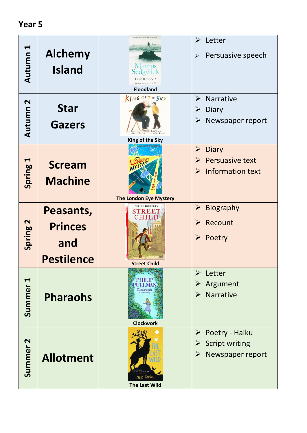| Autumn 1            | <b>Alchemy</b><br><b>Island</b>                         | Viewern or true financiana Boast Area<br>Marcus<br>Sedgwick<br><b>FLOODLAND</b><br><b>Floodland</b> | $\blacktriangleright$<br>Letter<br>Persuasive speech<br>➤                                                                                    |
|---------------------|---------------------------------------------------------|-----------------------------------------------------------------------------------------------------|----------------------------------------------------------------------------------------------------------------------------------------------|
| Autumn <sub>2</sub> | <b>Star</b><br><b>Gazers</b>                            | KING OF THE SKY<br>King of the Sky                                                                  | $\blacktriangleright$<br>Narrative<br>Diary<br>➤<br>Newspaper report<br>➤                                                                    |
| Spring 1            | <b>Scream</b><br><b>Machine</b>                         | <b>The London Eye Mystery</b>                                                                       | <b>Diary</b><br>$\blacktriangleright$<br><b>Persuasive text</b><br>$\blacktriangleright$<br><b>Information text</b><br>$\blacktriangleright$ |
| Spring 2            | Peasants,<br><b>Princes</b><br>and<br><b>Pestilence</b> | <b>BERLIE DOHERTY</b><br><b>STREET</b><br>Street Child                                              | <b>Biography</b><br>$\blacktriangleright$<br>Recount<br>$\blacktriangleright$<br>Poetry<br>$\blacktriangleright$                             |
| Summer <sub>1</sub> | <b>Pharaohs</b>                                         | <b>PHILIP</b><br>Clockworl<br><b>Clockwork</b>                                                      | Letter<br>$\blacktriangleright$<br>Argument<br><b>Narrative</b><br>$\blacktriangleright$                                                     |
| Summer <sub>2</sub> | <b>Allotment</b>                                        | PIERS TORDAY<br><b>The Last Wild</b>                                                                | Poetry - Haiku<br>➤<br><b>Script writing</b><br>➤<br>Newspaper report<br>➤                                                                   |